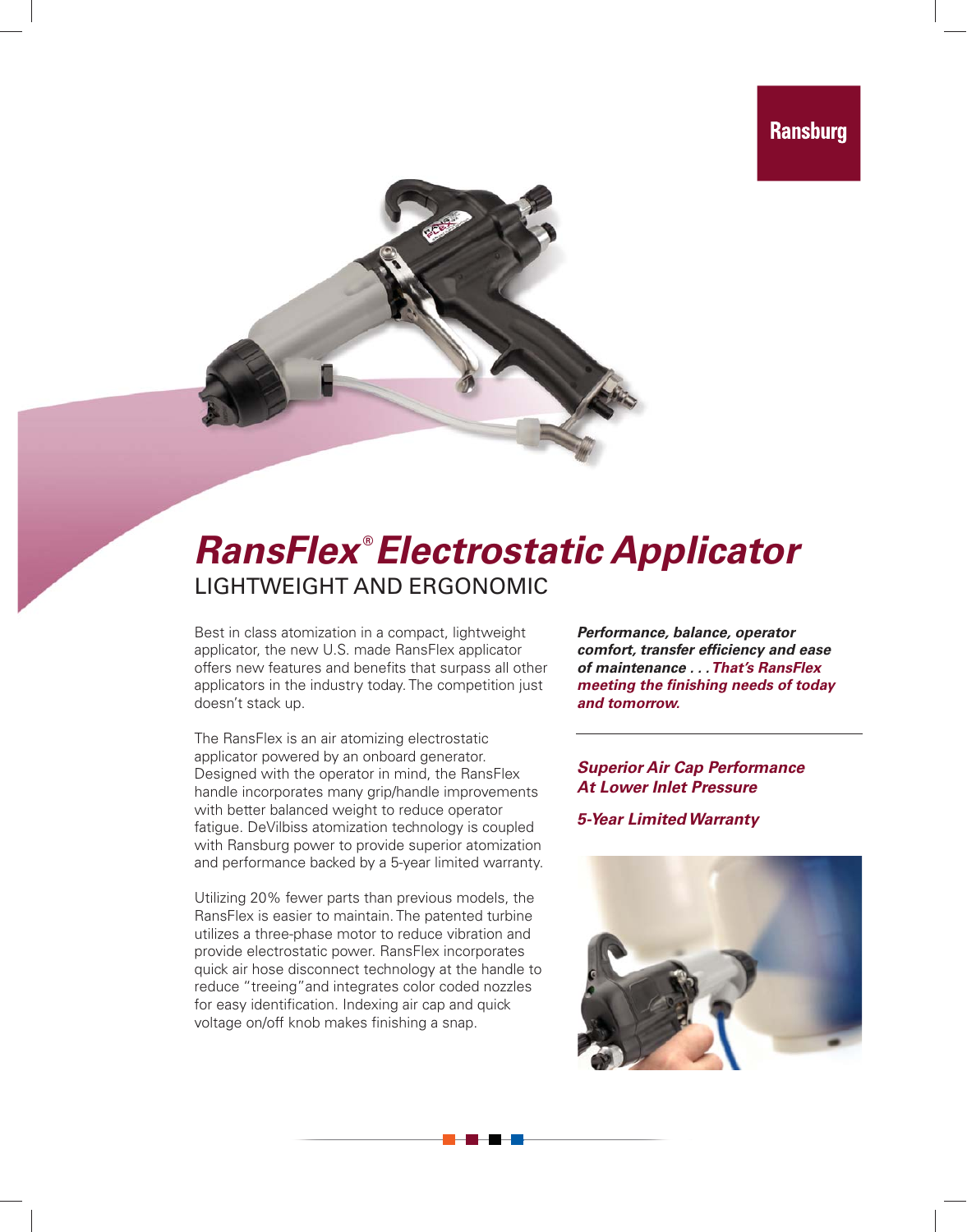

## *RansFlex* **®** *Electrostatic Applicator* LIGHTWEIGHT AND ERGONOMIC

Best in class atomization in a compact, lightweight applicator, the new U.S. made RansFlex applicator offers new features and benefits that surpass all other applicators in the industry today. The competition just doesn't stack up.

The RansFlex is an air atomizing electrostatic applicator powered by an onboard generator. Designed with the operator in mind, the RansFlex handle incorporates many grip/handle improvements with better balanced weight to reduce operator fatigue. DeVilbiss atomization technology is coupled with Ransburg power to provide superior atomization and performance backed by a 5-year limited warranty.

Utilizing 20% fewer parts than previous models, the RansFlex is easier to maintain. The patented turbine utilizes a three-phase motor to reduce vibration and provide electrostatic power. RansFlex incorporates quick air hose disconnect technology at the handle to reduce "treeing"and integrates color coded nozzles for easy identification. Indexing air cap and quick voltage on/off knob makes finishing a snap.

*Performance, balance, operator comfort, transfer effi ciency and ease of maintenance . . . That's RansFlex meeting the finishing needs of today and tomorrow.*

*Superior Air Cap Performance At Lower Inlet Pressure*

*5-Year Limited Warranty*